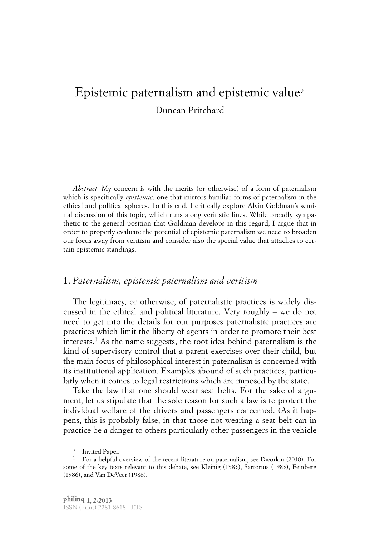# Epistemic paternalism and epistemic value\* Duncan Pritchard

*Abstract*: My concern is with the merits (or otherwise) of a form of paternalism which is specifically *epistemic*, one that mirrors familiar forms of paternalism in the ethical and political spheres. To this end, I critically explore Alvin Goldman's seminal discussion of this topic, which runs along veritistic lines. While broadly sympathetic to the general position that Goldman develops in this regard, I argue that in order to properly evaluate the potential of epistemic paternalism we need to broaden our focus away from veritism and consider also the special value that attaches to certain epistemic standings.

## 1. *Paternalism, epistemic paternalism and veritism*

The legitimacy, or otherwise, of paternalistic practices is widely discussed in the ethical and political literature. Very roughly – we do not need to get into the details for our purposes paternalistic practices are practices which limit the liberty of agents in order to promote their best interests. <sup>1</sup> As the name suggests, the root idea behind paternalism is the kind of supervisory control that a parent exercises over their child, but the main focus of philosophical interest in paternalism is concerned with its institutional application. Examples abound of such practices, particularly when it comes to legal restrictions which are imposed by the state.

Take the law that one should wear seat belts. For the sake of argument, let us stipulate that the sole reason for such a law is to protect the individual welfare of the drivers and passengers concerned. (As it happens, this is probably false, in that those not wearing a seat belt can in practice be a danger to others particularly other passengers in the vehicle

<sup>\*</sup> Invited Paper.

<sup>&</sup>lt;sup>1</sup> For a helpful overview of the recent literature on paternalism, see Dworkin (2010). For some of the key texts relevant to this debate, see Kleinig (1983), Sartorius (1983), Feinberg (1986), and Van DeVeer (1986).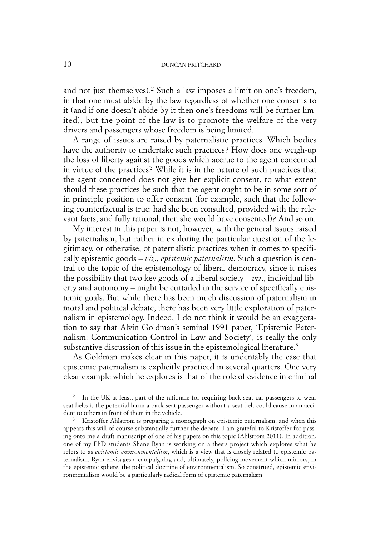and not just themselves). <sup>2</sup> Such a law imposes a limit on one's freedom, in that one must abide by the law regardless of whether one consents to it (and if one doesn't abide by it then one's freedoms will be further limited), but the point of the law is to promote the welfare of the very drivers and passengers whose freedom is being limited.

A range of issues are raised by paternalistic practices. Which bodies have the authority to undertake such practices? How does one weigh-up the loss of liberty against the goods which accrue to the agent concerned in virtue of the practices? While it is in the nature of such practices that the agent concerned does not give her explicit consent, to what extent should these practices be such that the agent ought to be in some sort of in principle position to offer consent (for example, such that the following counterfactual is true: had she been consulted, provided with the relevant facts, and fully rational, then she would have consented)? And so on.

My interest in this paper is not, however, with the general issues raised by paternalism, but rather in exploring the particular question of the legitimacy, or otherwise, of paternalistic practices when it comes to specifically epistemic goods – *viz*., *epistemic paternalism*. Such a question is central to the topic of the epistemology of liberal democracy, since it raises the possibility that two key goods of a liberal society –  $viz$ , individual liberty and autonomy – might be curtailed in the service of specifically epistemic goals. But while there has been much discussion of paternalism in moral and political debate, there has been very little exploration of paternalism in epistemology. Indeed, I do not think it would be an exaggeration to say that Alvin Goldman's seminal 1991 paper, 'Epistemic Paternalism: Communication Control in Law and Society', is really the only substantive discussion of this issue in the epistemological literature. 3

As Goldman makes clear in this paper, it is undeniably the case that epistemic paternalism is explicitly practiced in several quarters. One very clear example which he explores is that of the role of evidence in criminal

 $3$  Kristoffer Ahlstrom is preparing a monograph on epistemic paternalism, and when this appears this will of course substantially further the debate. I am grateful to Kristoffer for passing onto me a draft manuscript of one of his papers on this topic (Ahlstrom 2011). In addition, one of my PhD students Shane Ryan is working on a thesis project which explores what he refers to as *epistemic environmentalism*, which is a view that is closely related to epistemic paternalism. Ryan envisages a campaigning and, ultimately, policing movement which mirrors, in the epistemic sphere, the political doctrine of environmentalism. So construed, epistemic environmentalism would be a particularly radical form of epistemic paternalism.

<sup>&</sup>lt;sup>2</sup> In the UK at least, part of the rationale for requiring back-seat car passengers to wear seat belts is the potential harm a back-seat passenger without a seat belt could cause in an accident to others in front of them in the vehicle.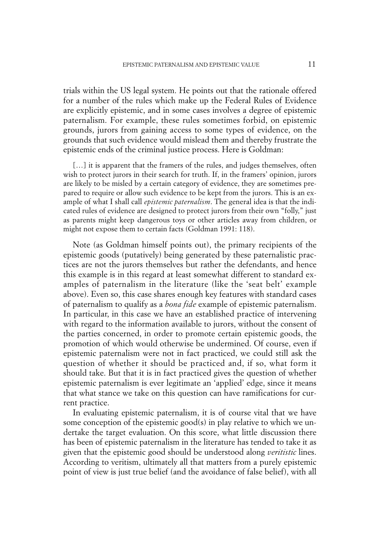trials within the US legal system. He points out that the rationale offered for a number of the rules which make up the Federal Rules of Evidence are explicitly epistemic, and in some cases involves a degree of epistemic paternalism. For example, these rules sometimes forbid, on epistemic grounds, jurors from gaining access to some types of evidence, on the grounds that such evidence would mislead them and thereby frustrate the epistemic ends of the criminal justice process. Here is Goldman:

[...] it is apparent that the framers of the rules, and judges themselves, often wish to protect jurors in their search for truth. If, in the framers' opinion, jurors are likely to be misled by a certain category of evidence, they are sometimes prepared to require or allow such evidence to be kept from the jurors. This is an example of what I shall call *epistemic paternalism*. The general idea is that the indicated rules of evidence are designed to protect jurors from their own "folly," just as parents might keep dangerous toys or other articles away from children, or might not expose them to certain facts (Goldman 1991: 118).

Note (as Goldman himself points out), the primary recipients of the epistemic goods (putatively) being generated by these paternalistic practices are not the jurors themselves but rather the defendants, and hence this example is in this regard at least somewhat different to standard examples of paternalism in the literature (like the 'seat belt' example above). Even so, this case shares enough key features with standard cases of paternalism to qualify as a *bona fide* example of epistemic paternalism. In particular, in this case we have an established practice of intervening with regard to the information available to jurors, without the consent of the parties concerned, in order to promote certain epistemic goods, the promotion of which would otherwise be undermined. Of course, even if epistemic paternalism were not in fact practiced, we could still ask the question of whether it should be practiced and, if so, what form it should take. But that it is in fact practiced gives the question of whether epistemic paternalism is ever legitimate an 'applied' edge, since it means that what stance we take on this question can have ramifications for current practice.

In evaluating epistemic paternalism, it is of course vital that we have some conception of the epistemic good(s) in play relative to which we undertake the target evaluation. On this score, what little discussion there has been of epistemic paternalism in the literature has tended to take it as given that the epistemic good should be understood along *veritistic* lines. According to veritism, ultimately all that matters from a purely epistemic point of view is just true belief (and the avoidance of false belief), with all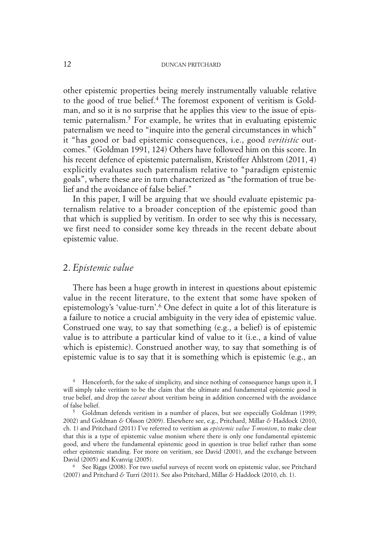other epistemic properties being merely instrumentally valuable relative to the good of true belief. <sup>4</sup> The foremost exponent of veritism is Goldman, and so it is no surprise that he applies this view to the issue of epistemic paternalism. <sup>5</sup> For example, he writes that in evaluating epistemic paternalism we need to "inquire into the general circumstances in which" it "has good or bad epistemic consequences, i.e., good *veritistic* outcomes." (Goldman 1991, 124) Others have followed him on this score. In his recent defence of epistemic paternalism, Kristoffer Ahlstrom (2011, 4) explicitly evaluates such paternalism relative to "paradigm epistemic goals", where these are in turn characterized as "the formation of true belief and the avoidance of false belief."

In this paper, I will be arguing that we should evaluate epistemic paternalism relative to a broader conception of the epistemic good than that which is supplied by veritism. In order to see why this is necessary, we first need to consider some key threads in the recent debate about epistemic value.

# 2. *Epistemic value*

There has been a huge growth in interest in questions about epistemic value in the recent literature, to the extent that some have spoken of epistemology's 'value-turn'. <sup>6</sup> One defect in quite a lot of this literature is a failure to notice a crucial ambiguity in the very idea of epistemic value. Construed one way, to say that something (e.g., a belief) is of epistemic value is to attribute a particular kind of value to it (i.e., a kind of value which is epistemic). Construed another way, to say that something is of epistemic value is to say that it is something which is epistemic (e.g., an

<sup>6</sup> See Riggs (2008). For two useful surveys of recent work on epistemic value, see Pritchard (2007) and Pritchard *&* Turri (2011). See also Pritchard, Millar *&* Haddock (2010, ch. 1).

<sup>&</sup>lt;sup>4</sup> Henceforth, for the sake of simplicity, and since nothing of consequence hangs upon it, I will simply take veritism to be the claim that the ultimate and fundamental epistemic good is true belief, and drop the *caveat* about veritism being in addition concerned with the avoidance of false belief.

<sup>5</sup> Goldman defends veritism in a number of places, but see especially Goldman (1999; 2002) and Goldman *&* Olsson (2009). Elsewhere see, e.g., Pritchard, Millar *&* Haddock (2010, ch. 1) and Pritchard (2011) I've referred to veritism as *epistemic value T-monism*, to make clear that this is a type of epistemic value monism where there is only one fundamental epistemic good, and where the fundamental epistemic good in question is true belief rather than some other epistemic standing. For more on veritism, see David (2001), and the exchange between David (2005) and Kvanvig (2005).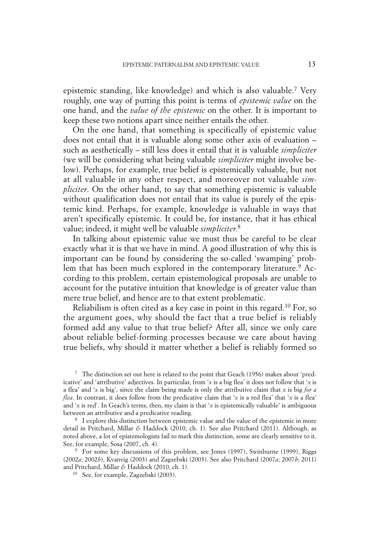epistemic standing, like knowledge) and which is also valuable. <sup>7</sup> Very roughly, one way of putting this point is terms of *epistemic value* on the one hand, and the *value of the epistemic* on the other. It is important to keep these two notions apart since neither entails the other.

On the one hand, that something is specifically of epistemic value does not entail that it is valuable along some other axis of evaluation – such as aesthetically – still less does it entail that it is valuable *simpliciter* (we will be considering what being valuable *simpliciter* might involve below). Perhaps, for example, true belief is epistemically valuable, but not at all valuable in any other respect, and moreover not valuable *simpliciter*. On the other hand, to say that something epistemic is valuable without qualification does not entail that its value is purely of the epistemic kind. Perhaps, for example, knowledge is valuable in ways that aren't specifically epistemic. It could be, for instance, that it has ethical value; indeed, it might well be valuable *simpliciter.* 8

In talking about epistemic value we must thus be careful to be clear exactly what it is that we have in mind. A good illustration of why this is important can be found by considering the so-called 'swamping' problem that has been much explored in the contemporary literature. <sup>9</sup> According to this problem, certain epistemological proposals are unable to account for the putative intuition that knowledge is of greater value than mere true belief, and hence are to that extent problematic.

Reliabilism is often cited as a key case in point in this regard. <sup>10</sup> For, so the argument goes, why should the fact that a true belief is reliably formed add any value to that true belief? After all, since we only care about reliable belief-forming processes because we care about having true beliefs, why should it matter whether a belief is reliably formed so

<sup>7</sup> The distinction set out here is related to the point that Geach (1956) makes about 'predicative' and 'attributive' adjectives. In particular, from '*x* is a big flea' it does not follow that '*x* is a flea' and '*x* is big', since the claim being made is only the attributive claim that *x* is big *for a flea*. In contrast, it does follow from the predicative claim that '*x* is a red flea' that '*x* is a flea' and '*x* is red'. In Geach's terms, then, my claim is that '*x* is epistemically valuable' is ambiguous between an attributive and a predicative reading.

<sup>8</sup> I explore this distinction between epistemic value and the value of the epistemic in more detail in Pritchard, Millar *&* Haddock (2010, ch. 1). See also Pritchard (2011). Although, as noted above, a lot of epistemologists fail to mark this distinction, some are clearly sensitive to it. See, for example, Sosa (2007, ch. 4).

<sup>9</sup> For some key discussions of this problem, see Jones (1997), Swinburne (1999), Riggs (2002*a*; 2002*b*), Kvanvig (2003) and Zagzebski (2003). See also Pritchard (2007*a*; 2007*b*; 2011) and Pritchard, Millar *&* Haddock (2010, ch. 1).

<sup>10</sup> See, for example, Zagzebski (2003).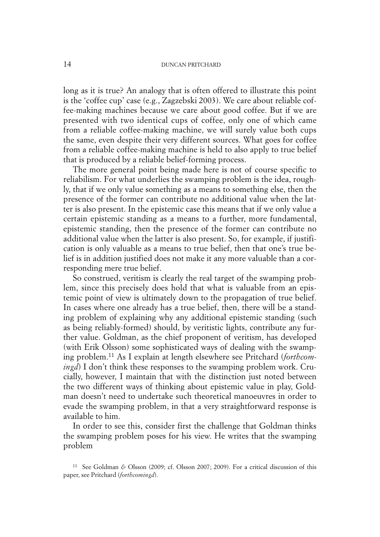long as it is true? An analogy that is often offered to illustrate this point is the 'coffee cup' case (e.g., Zagzebski 2003). We care about reliable coffee-making machines because we care about good coffee. But if we are presented with two identical cups of coffee, only one of which came from a reliable coffee-making machine, we will surely value both cups the same, even despite their very different sources. What goes for coffee from a reliable coffee-making machine is held to also apply to true belief that is produced by a reliable belief-forming process.

The more general point being made here is not of course specific to reliabilism. For what underlies the swamping problem is the idea, roughly, that if we only value something as a means to something else, then the presence of the former can contribute no additional value when the latter is also present. In the epistemic case this means that if we only value a certain epistemic standing as a means to a further, more fundamental, epistemic standing, then the presence of the former can contribute no additional value when the latter is also present. So, for example, if justification is only valuable as a means to true belief, then that one's true belief is in addition justified does not make it any more valuable than a corresponding mere true belief.

So construed, veritism is clearly the real target of the swamping problem, since this precisely does hold that what is valuable from an epistemic point of view is ultimately down to the propagation of true belief. In cases where one already has a true belief, then, there will be a standing problem of explaining why any additional epistemic standing (such as being reliably-formed) should, by veritistic lights, contribute any further value. Goldman, as the chief proponent of veritism, has developed (with Erik Olsson) some sophisticated ways of dealing with the swamping problem. <sup>11</sup> As I explain at length elsewhere see Pritchard (*forthcomingd*) I don't think these responses to the swamping problem work. Crucially, however, I maintain that with the distinction just noted between the two different ways of thinking about epistemic value in play, Goldman doesn't need to undertake such theoretical manoeuvres in order to evade the swamping problem, in that a very straightforward response is available to him.

In order to see this, consider first the challenge that Goldman thinks the swamping problem poses for his view. He writes that the swamping problem

<sup>11</sup> See Goldman *&* Olsson (2009; cf. Olsson 2007; 2009). For a critical discussion of this paper, see Pritchard (*forthcomingd*).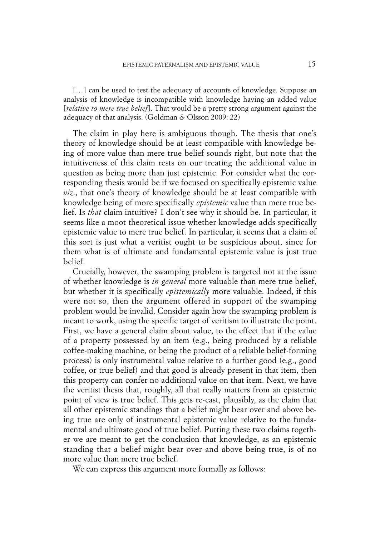[...] can be used to test the adequacy of accounts of knowledge. Suppose an analysis of knowledge is incompatible with knowledge having an added value [*relative to mere true belief*]. That would be a pretty strong argument against the adequacy of that analysis. (Goldman *&* Olsson 2009: 22)

The claim in play here is ambiguous though. The thesis that one's theory of knowledge should be at least compatible with knowledge being of more value than mere true belief sounds right, but note that the intuitiveness of this claim rests on our treating the additional value in question as being more than just epistemic. For consider what the corresponding thesis would be if we focused on specifically epistemic value *viz*., that one's theory of knowledge should be at least compatible with knowledge being of more specifically *epistemic* value than mere true belief. Is *that* claim intuitive? I don't see why it should be. In particular, it seems like a moot theoretical issue whether knowledge adds specifically epistemic value to mere true belief. In particular, it seems that a claim of this sort is just what a veritist ought to be suspicious about, since for them what is of ultimate and fundamental epistemic value is just true belief.

Crucially, however, the swamping problem is targeted not at the issue of whether knowledge is *in general* more valuable than mere true belief, but whether it is specifically *epistemically* more valuable. Indeed, if this were not so, then the argument offered in support of the swamping problem would be invalid. Consider again how the swamping problem is meant to work, using the specific target of veritism to illustrate the point. First, we have a general claim about value, to the effect that if the value of a property possessed by an item (e.g., being produced by a reliable coffee-making machine, or being the product of a reliable belief-forming process) is only instrumental value relative to a further good (e.g., good coffee, or true belief) and that good is already present in that item, then this property can confer no additional value on that item. Next, we have the veritist thesis that, roughly, all that really matters from an epistemic point of view is true belief. This gets re-cast, plausibly, as the claim that all other epistemic standings that a belief might bear over and above being true are only of instrumental epistemic value relative to the fundamental and ultimate good of true belief. Putting these two claims together we are meant to get the conclusion that knowledge, as an epistemic standing that a belief might bear over and above being true, is of no more value than mere true belief.

We can express this argument more formally as follows: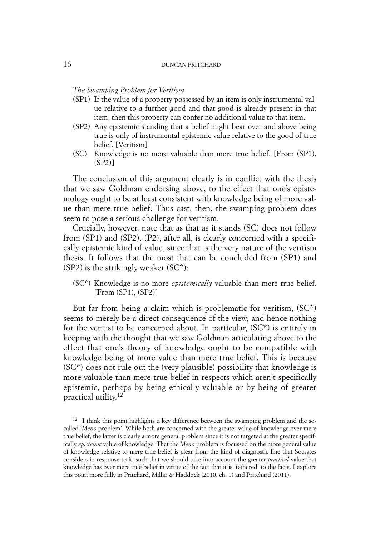#### *The Swamping Problem for Veritism*

- (SP1) If the value of a property possessed by an item is only instrumental value relative to a further good and that good is already present in that item, then this property can confer no additional value to that item.
- (SP2) Any epistemic standing that a belief might bear over and above being true is only of instrumental epistemic value relative to the good of true belief. [Veritism]
- (SC) Knowledge is no more valuable than mere true belief. [From (SP1), (SP2)]

The conclusion of this argument clearly is in conflict with the thesis that we saw Goldman endorsing above, to the effect that one's epistemology ought to be at least consistent with knowledge being of more value than mere true belief. Thus cast, then, the swamping problem does seem to pose a serious challenge for veritism.

Crucially, however, note that as that as it stands (SC) does not follow from (SP1) and (SP2). (P2), after all, is clearly concerned with a specifically epistemic kind of value, since that is the very nature of the veritism thesis. It follows that the most that can be concluded from (SP1) and  $(SP2)$  is the strikingly weaker  $(SC^*)$ :

(SC\*) Knowledge is no more *epistemically* valuable than mere true belief. [From (SP1), (SP2)]

But far from being a claim which is problematic for veritism,  $SC^*$ ) seems to merely be a direct consequence of the view, and hence nothing for the veritist to be concerned about. In particular, (SC\*) is entirely in keeping with the thought that we saw Goldman articulating above to the effect that one's theory of knowledge ought to be compatible with knowledge being of more value than mere true belief. This is because  $SC^*$ ) does not rule-out the (very plausible) possibility that knowledge is more valuable than mere true belief in respects which aren't specifically epistemic, perhaps by being ethically valuable or by being of greater practical utility. 12

 $12$  I think this point highlights a key difference between the swamping problem and the socalled '*Meno* problem'. While both are concerned with the greater value of knowledge over mere true belief, the latter is clearly a more general problem since it is not targeted at the greater specifically *epistemic* value of knowledge. That the *Meno* problem is focussed on the more general value of knowledge relative to mere true belief is clear from the kind of diagnostic line that Socrates considers in response to it, such that we should take into account the greater *practical* value that knowledge has over mere true belief in virtue of the fact that it is 'tethered' to the facts. I explore this point more fully in Pritchard, Millar *&* Haddock (2010, ch. 1) and Pritchard (2011).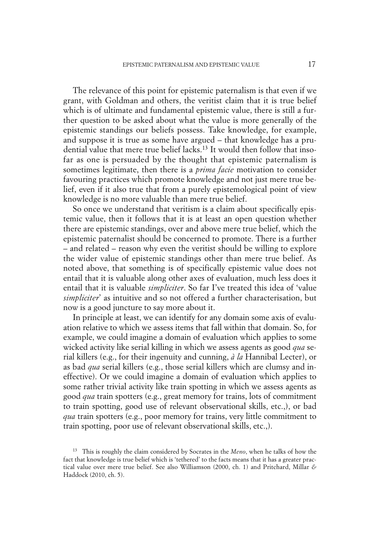The relevance of this point for epistemic paternalism is that even if we grant, with Goldman and others, the veritist claim that it is true belief which is of ultimate and fundamental epistemic value, there is still a further question to be asked about what the value is more generally of the epistemic standings our beliefs possess. Take knowledge, for example, and suppose it is true as some have argued – that knowledge has a prudential value that mere true belief lacks. <sup>13</sup> It would then follow that insofar as one is persuaded by the thought that epistemic paternalism is sometimes legitimate, then there is a *prima facie* motivation to consider favouring practices which promote knowledge and not just mere true belief, even if it also true that from a purely epistemological point of view knowledge is no more valuable than mere true belief.

So once we understand that veritism is a claim about specifically epistemic value, then it follows that it is at least an open question whether there are epistemic standings, over and above mere true belief, which the epistemic paternalist should be concerned to promote. There is a further – and related – reason why even the veritist should be willing to explore the wider value of epistemic standings other than mere true belief. As noted above, that something is of specifically epistemic value does not entail that it is valuable along other axes of evaluation, much less does it entail that it is valuable *simpliciter*. So far I've treated this idea of 'value *simpliciter*' as intuitive and so not offered a further characterisation, but now is a good juncture to say more about it.

In principle at least, we can identify for any domain some axis of evaluation relative to which we assess items that fall within that domain. So, for example, we could imagine a domain of evaluation which applies to some wicked activity like serial killing in which we assess agents as good *qua* serial killers (e.g., for their ingenuity and cunning, *à la* Hannibal Lecter), or as bad *qua* serial killers (e.g., those serial killers which are clumsy and ineffective). Or we could imagine a domain of evaluation which applies to some rather trivial activity like train spotting in which we assess agents as good *qua* train spotters (e.g., great memory for trains, lots of commitment to train spotting, good use of relevant observational skills, etc.,), or bad *qua* train spotters (e.g., poor memory for trains, very little commitment to train spotting, poor use of relevant observational skills, etc.,).

<sup>13</sup> This is roughly the claim considered by Socrates in the *Meno*, when he talks of how the fact that knowledge is true belief which is 'tethered' to the facts means that it has a greater practical value over mere true belief. See also Williamson (2000, ch. 1) and Pritchard, Millar *&* Haddock (2010, ch. 5).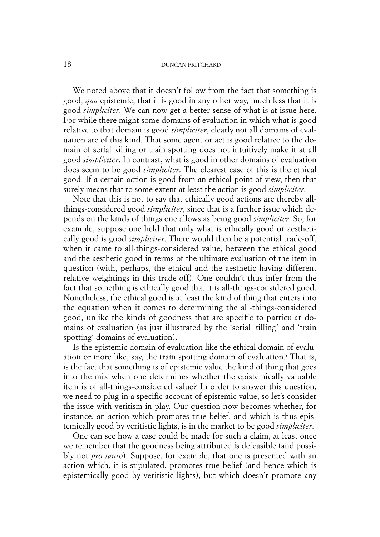We noted above that it doesn't follow from the fact that something is good, *qua* epistemic, that it is good in any other way, much less that it is good *simpliciter*. We can now get a better sense of what is at issue here. For while there might some domains of evaluation in which what is good relative to that domain is good *simpliciter*, clearly not all domains of evaluation are of this kind. That some agent or act is good relative to the domain of serial killing or train spotting does not intuitively make it at all good *simpliciter*. In contrast, what is good in other domains of evaluation does seem to be good *simpliciter*. The clearest case of this is the ethical good. If a certain action is good from an ethical point of view, then that surely means that to some extent at least the action is good *simpliciter*.

Note that this is not to say that ethically good actions are thereby allthings-considered good *simpliciter*, since that is a further issue which depends on the kinds of things one allows as being good *simpliciter*. So, for example, suppose one held that only what is ethically good or aesthetically good is good *simpliciter*. There would then be a potential trade-off, when it came to all-things-considered value, between the ethical good and the aesthetic good in terms of the ultimate evaluation of the item in question (with, perhaps, the ethical and the aesthetic having different relative weightings in this trade-off). One couldn't thus infer from the fact that something is ethically good that it is all-things-considered good. Nonetheless, the ethical good is at least the kind of thing that enters into the equation when it comes to determining the all-things-considered good, unlike the kinds of goodness that are specific to particular domains of evaluation (as just illustrated by the 'serial killing' and 'train spotting' domains of evaluation).

Is the epistemic domain of evaluation like the ethical domain of evaluation or more like, say, the train spotting domain of evaluation? That is, is the fact that something is of epistemic value the kind of thing that goes into the mix when one determines whether the epistemically valuable item is of all-things-considered value? In order to answer this question, we need to plug-in a specific account of epistemic value, so let's consider the issue with veritism in play. Our question now becomes whether, for instance, an action which promotes true belief, and which is thus epistemically good by veritistic lights, is in the market to be good *simpliciter*.

One can see how a case could be made for such a claim, at least once we remember that the goodness being attributed is defeasible (and possibly not *pro tanto*). Suppose, for example, that one is presented with an action which, it is stipulated, promotes true belief (and hence which is epistemically good by veritistic lights), but which doesn't promote any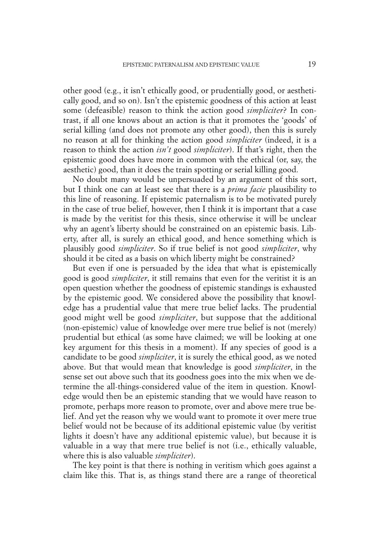other good (e.g., it isn't ethically good, or prudentially good, or aesthetically good, and so on). Isn't the epistemic goodness of this action at least some (defeasible) reason to think the action good *simpliciter*? In contrast, if all one knows about an action is that it promotes the 'goods' of serial killing (and does not promote any other good), then this is surely no reason at all for thinking the action good *simpliciter* (indeed, it is a reason to think the action *isn't* good *simpliciter*). If that's right, then the epistemic good does have more in common with the ethical (or, say, the aesthetic) good, than it does the train spotting or serial killing good.

No doubt many would be unpersuaded by an argument of this sort, but I think one can at least see that there is a *prima facie* plausibility to this line of reasoning. If epistemic paternalism is to be motivated purely in the case of true belief, however, then I think it is important that a case is made by the veritist for this thesis, since otherwise it will be unclear why an agent's liberty should be constrained on an epistemic basis. Liberty, after all, is surely an ethical good, and hence something which is plausibly good *simpliciter*. So if true belief is not good *simpliciter*, why should it be cited as a basis on which liberty might be constrained?

But even if one is persuaded by the idea that what is epistemically good is good *simpliciter*, it still remains that even for the veritist it is an open question whether the goodness of epistemic standings is exhausted by the epistemic good. We considered above the possibility that knowledge has a prudential value that mere true belief lacks. The prudential good might well be good *simpliciter*, but suppose that the additional (non-epistemic) value of knowledge over mere true belief is not (merely) prudential but ethical (as some have claimed; we will be looking at one key argument for this thesis in a moment). If any species of good is a candidate to be good *simpliciter*, it is surely the ethical good, as we noted above. But that would mean that knowledge is good *simpliciter*, in the sense set out above such that its goodness goes into the mix when we determine the all-things-considered value of the item in question. Knowledge would then be an epistemic standing that we would have reason to promote, perhaps more reason to promote, over and above mere true belief. And yet the reason why we would want to promote it over mere true belief would not be because of its additional epistemic value (by veritist lights it doesn't have any additional epistemic value), but because it is valuable in a way that mere true belief is not (i.e., ethically valuable, where this is also valuable *simpliciter*).

The key point is that there is nothing in veritism which goes against a claim like this. That is, as things stand there are a range of theoretical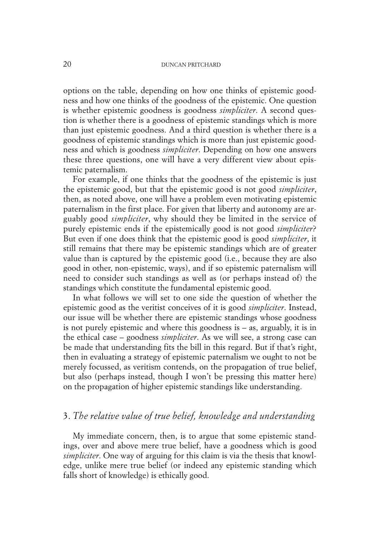options on the table, depending on how one thinks of epistemic goodness and how one thinks of the goodness of the epistemic. One question is whether epistemic goodness is goodness *simpliciter*. A second question is whether there is a goodness of epistemic standings which is more than just epistemic goodness. And a third question is whether there is a goodness of epistemic standings which is more than just epistemic goodness and which is goodness *simpliciter*. Depending on how one answers these three questions, one will have a very different view about epistemic paternalism.

For example, if one thinks that the goodness of the epistemic is just the epistemic good, but that the epistemic good is not good *simpliciter*, then, as noted above, one will have a problem even motivating epistemic paternalism in the first place. For given that liberty and autonomy are arguably good *simpliciter*, why should they be limited in the service of purely epistemic ends if the epistemically good is not good *simpliciter*? But even if one does think that the epistemic good is good *simpliciter*, it still remains that there may be epistemic standings which are of greater value than is captured by the epistemic good (i.e., because they are also good in other, non-epistemic, ways), and if so epistemic paternalism will need to consider such standings as well as (or perhaps instead of) the standings which constitute the fundamental epistemic good.

In what follows we will set to one side the question of whether the epistemic good as the veritist conceives of it is good *simpliciter*. Instead, our issue will be whether there are epistemic standings whose goodness is not purely epistemic and where this goodness is – as, arguably, it is in the ethical case – goodness *simpliciter*. As we will see, a strong case can be made that understanding fits the bill in this regard. But if that's right, then in evaluating a strategy of epistemic paternalism we ought to not be merely focussed, as veritism contends, on the propagation of true belief, but also (perhaps instead, though I won't be pressing this matter here) on the propagation of higher epistemic standings like understanding.

# 3. *The relative value of true belief, knowledge and understanding*

My immediate concern, then, is to argue that some epistemic standings, over and above mere true belief, have a goodness which is good *simpliciter*. One way of arguing for this claim is via the thesis that knowledge, unlike mere true belief (or indeed any epistemic standing which falls short of knowledge) is ethically good.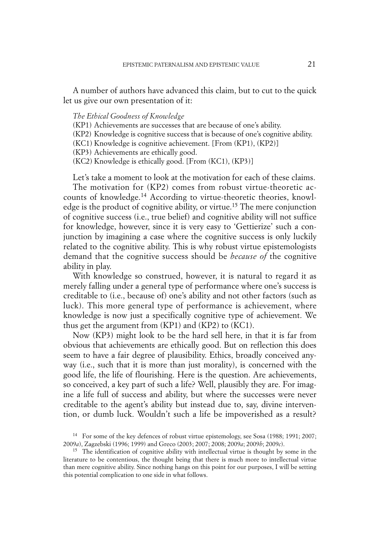A number of authors have advanced this claim, but to cut to the quick let us give our own presentation of it:

## *The Ethical Goodness of Knowledge*

(KP1) Achievements are successes that are because of one's ability.

(KP2) Knowledge is cognitive success that is because of one's cognitive ability.

(KC1) Knowledge is cognitive achievement. [From (KP1), (KP2)]

(KP3) Achievements are ethically good.

(KC2) Knowledge is ethically good. [From (KC1), (KP3)]

Let's take a moment to look at the motivation for each of these claims. The motivation for (KP2) comes from robust virtue-theoretic accounts of knowledge. <sup>14</sup> According to virtue-theoretic theories, knowledge is the product of cognitive ability, or virtue. <sup>15</sup> The mere conjunction of cognitive success (i.e., true belief) and cognitive ability will not suffice for knowledge, however, since it is very easy to 'Gettierize' such a conjunction by imagining a case where the cognitive success is only luckily related to the cognitive ability. This is why robust virtue epistemologists demand that the cognitive success should be *because of* the cognitive ability in play.

With knowledge so construed, however, it is natural to regard it as merely falling under a general type of performance where one's success is creditable to (i.e., because of) one's ability and not other factors (such as luck). This more general type of performance is achievement, where knowledge is now just a specifically cognitive type of achievement. We thus get the argument from (KP1) and (KP2) to (KC1).

Now (KP3) might look to be the hard sell here, in that it is far from obvious that achievements are ethically good. But on reflection this does seem to have a fair degree of plausibility. Ethics, broadly conceived anyway (i.e., such that it is more than just morality), is concerned with the good life, the life of flourishing. Here is the question. Are achievements, so conceived, a key part of such a life? Well, plausibly they are. For imagine a life full of success and ability, but where the successes were never creditable to the agent's ability but instead due to, say, divine intervention, or dumb luck. Wouldn't such a life be impoverished as a result?

<sup>14</sup> For some of the key defences of robust virtue epistemology, see Sosa (1988; 1991; 2007; 2009*a*), Zagzebski (1996; 1999) and Greco (2003; 2007; 2008; 2009*a*; 2009*b*; 2009*c*).

<sup>&</sup>lt;sup>15</sup> The identification of cognitive ability with intellectual virtue is thought by some in the literature to be contentious, the thought being that there is much more to intellectual virtue than mere cognitive ability. Since nothing hangs on this point for our purposes, I will be setting this potential complication to one side in what follows.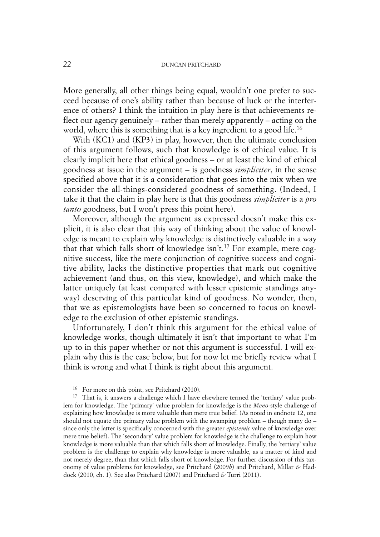More generally, all other things being equal, wouldn't one prefer to succeed because of one's ability rather than because of luck or the interference of others? I think the intuition in play here is that achievements reflect our agency genuinely – rather than merely apparently – acting on the world, where this is something that is a key ingredient to a good life. 16

With (KC1) and (KP3) in play, however, then the ultimate conclusion of this argument follows, such that knowledge is of ethical value. It is clearly implicit here that ethical goodness – or at least the kind of ethical goodness at issue in the argument – is goodness *simpliciter*, in the sense specified above that it is a consideration that goes into the mix when we consider the all-things-considered goodness of something. (Indeed, I take it that the claim in play here is that this goodness *simpliciter* is a *pro tanto* goodness, but I won't press this point here).

Moreover, although the argument as expressed doesn't make this explicit, it is also clear that this way of thinking about the value of knowledge is meant to explain why knowledge is distinctively valuable in a way that that which falls short of knowledge isn't. <sup>17</sup> For example, mere cognitive success, like the mere conjunction of cognitive success and cognitive ability, lacks the distinctive properties that mark out cognitive achievement (and thus, on this view, knowledge), and which make the latter uniquely (at least compared with lesser epistemic standings anyway) deserving of this particular kind of goodness. No wonder, then, that we as epistemologists have been so concerned to focus on knowledge to the exclusion of other epistemic standings.

Unfortunately, I don't think this argument for the ethical value of knowledge works, though ultimately it isn't that important to what I'm up to in this paper whether or not this argument is successful. I will explain why this is the case below, but for now let me briefly review what I think is wrong and what I think is right about this argument.

For more on this point, see Pritchard (2010).

<sup>17</sup> That is, it answers a challenge which I have elsewhere termed the 'tertiary' value problem for knowledge. The 'primary' value problem for knowledge is the *Meno*-style challenge of explaining how knowledge is more valuable than mere true belief. (As noted in endnote 12, one should not equate the primary value problem with the swamping problem – though many do – since only the latter is specifically concerned with the greater *epistemic* value of knowledge over mere true belief). The 'secondary' value problem for knowledge is the challenge to explain how knowledge is more valuable than that which falls short of knowledge. Finally, the 'tertiary' value problem is the challenge to explain why knowledge is more valuable, as a matter of kind and not merely degree, than that which falls short of knowledge. For further discussion of this taxonomy of value problems for knowledge, see Pritchard (2009*b*) and Pritchard, Millar *&* Haddock (2010, ch. 1). See also Pritchard (2007) and Pritchard *&* Turri (2011).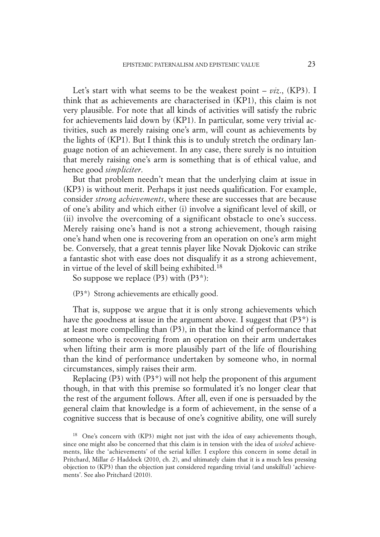Let's start with what seems to be the weakest point – *viz*., (KP3). I think that as achievements are characterised in (KP1), this claim is not very plausible. For note that all kinds of activities will satisfy the rubric for achievements laid down by (KP1). In particular, some very trivial activities, such as merely raising one's arm, will count as achievements by the lights of (KP1). But I think this is to unduly stretch the ordinary language notion of an achievement. In any case, there surely is no intuition that merely raising one's arm is something that is of ethical value, and hence good *simpliciter*.

But that problem needn't mean that the underlying claim at issue in (KP3) is without merit. Perhaps it just needs qualification. For example, consider *strong achievements*, where these are successes that are because of one's ability and which either (i) involve a significant level of skill, or (ii) involve the overcoming of a significant obstacle to one's success. Merely raising one's hand is not a strong achievement, though raising one's hand when one is recovering from an operation on one's arm might be. Conversely, that a great tennis player like Novak Djokovic can strike a fantastic shot with ease does not disqualify it as a strong achievement, in virtue of the level of skill being exhibited. 18

So suppose we replace  $(P3)$  with  $(P3^*)$ :

(P3\*) Strong achievements are ethically good.

That is, suppose we argue that it is only strong achievements which have the goodness at issue in the argument above. I suggest that  $(P3^*)$  is at least more compelling than (P3), in that the kind of performance that someone who is recovering from an operation on their arm undertakes when lifting their arm is more plausibly part of the life of flourishing than the kind of performance undertaken by someone who, in normal circumstances, simply raises their arm.

Replacing  $(P3)$  with  $(P3^*)$  will not help the proponent of this argument though, in that with this premise so formulated it's no longer clear that the rest of the argument follows. After all, even if one is persuaded by the general claim that knowledge is a form of achievement, in the sense of a cognitive success that is because of one's cognitive ability, one will surely

<sup>18</sup> One's concern with (KP3) might not just with the idea of easy achievements though, since one might also be concerned that this claim is in tension with the idea of *wicked* achievements, like the 'achievements' of the serial killer. I explore this concern in some detail in Pritchard, Millar *&* Haddock (2010, ch. 2), and ultimately claim that it is a much less pressing objection to (KP3) than the objection just considered regarding trivial (and unskilful) 'achievements'. See also Pritchard (2010).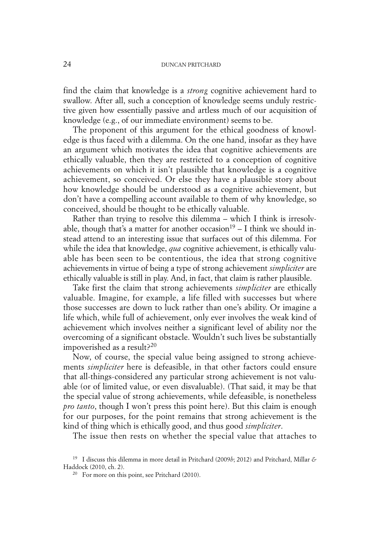find the claim that knowledge is a *strong* cognitive achievement hard to swallow. After all, such a conception of knowledge seems unduly restrictive given how essentially passive and artless much of our acquisition of knowledge (e.g., of our immediate environment) seems to be.

The proponent of this argument for the ethical goodness of knowledge is thus faced with a dilemma. On the one hand, insofar as they have an argument which motivates the idea that cognitive achievements are ethically valuable, then they are restricted to a conception of cognitive achievements on which it isn't plausible that knowledge is a cognitive achievement, so conceived. Or else they have a plausible story about how knowledge should be understood as a cognitive achievement, but don't have a compelling account available to them of why knowledge, so conceived, should be thought to be ethically valuable.

Rather than trying to resolve this dilemma – which I think is irresolvable, though that's a matter for another occasion<sup>19</sup> – I think we should instead attend to an interesting issue that surfaces out of this dilemma. For while the idea that knowledge, *qua* cognitive achievement, is ethically valuable has been seen to be contentious, the idea that strong cognitive achievements in virtue of being a type of strong achievement *simpliciter* are ethically valuable is still in play. And, in fact, that claim is rather plausible.

Take first the claim that strong achievements *simpliciter* are ethically valuable. Imagine, for example, a life filled with successes but where those successes are down to luck rather than one's ability. Or imagine a life which, while full of achievement, only ever involves the weak kind of achievement which involves neither a significant level of ability nor the overcoming of a significant obstacle. Wouldn't such lives be substantially impoverished as a result?20

Now, of course, the special value being assigned to strong achievements *simpliciter* here is defeasible, in that other factors could ensure that all-things-considered any particular strong achievement is not valuable (or of limited value, or even disvaluable). (That said, it may be that the special value of strong achievements, while defeasible, is nonetheless *pro tanto*, though I won't press this point here). But this claim is enough for our purposes, for the point remains that strong achievement is the kind of thing which is ethically good, and thus good *simpliciter*.

The issue then rests on whether the special value that attaches to

<sup>19</sup> I discuss this dilemma in more detail in Pritchard (2009*b*; 2012) and Pritchard, Millar *&* Haddock (2010, ch. 2).

<sup>&</sup>lt;sup>20</sup> For more on this point, see Pritchard (2010).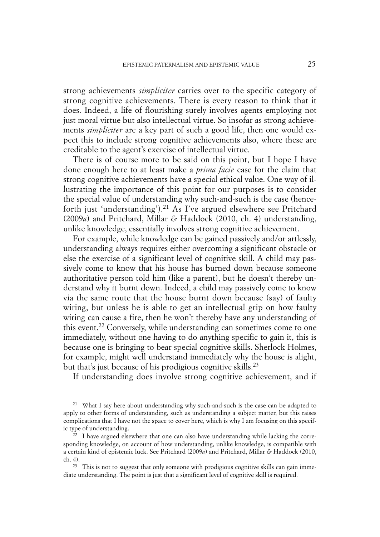strong achievements *simpliciter* carries over to the specific category of strong cognitive achievements. There is every reason to think that it does. Indeed, a life of flourishing surely involves agents employing not just moral virtue but also intellectual virtue. So insofar as strong achievements *simpliciter* are a key part of such a good life, then one would expect this to include strong cognitive achievements also, where these are creditable to the agent's exercise of intellectual virtue.

There is of course more to be said on this point, but I hope I have done enough here to at least make a *prima facie* case for the claim that strong cognitive achievements have a special ethical value. One way of illustrating the importance of this point for our purposes is to consider the special value of understanding why such-and-such is the case (henceforth just 'understanding'). <sup>21</sup> As I've argued elsewhere see Pritchard (2009*a*) and Pritchard, Millar *&* Haddock (2010, ch. 4) understanding, unlike knowledge, essentially involves strong cognitive achievement.

For example, while knowledge can be gained passively and/or artlessly, understanding always requires either overcoming a significant obstacle or else the exercise of a significant level of cognitive skill. A child may passively come to know that his house has burned down because someone authoritative person told him (like a parent), but he doesn't thereby understand why it burnt down. Indeed, a child may passively come to know via the same route that the house burnt down because (say) of faulty wiring, but unless he is able to get an intellectual grip on how faulty wiring can cause a fire, then he won't thereby have any understanding of this event. <sup>22</sup> Conversely, while understanding can sometimes come to one immediately, without one having to do anything specific to gain it, this is because one is bringing to bear special cognitive skills. Sherlock Holmes, for example, might well understand immediately why the house is alight, but that's just because of his prodigious cognitive skills. 23

If understanding does involve strong cognitive achievement, and if

<sup>&</sup>lt;sup>21</sup> What I say here about understanding why such-and-such is the case can be adapted to apply to other forms of understanding, such as understanding a subject matter, but this raises complications that I have not the space to cover here, which is why I am focusing on this specific type of understanding.

 $\frac{22}{22}$  I have argued elsewhere that one can also have understanding while lacking the corresponding knowledge, on account of how understanding, unlike knowledge, is compatible with a certain kind of epistemic luck. See Pritchard (2009*a*) and Pritchard, Millar *&* Haddock (2010, ch. 4).

<sup>&</sup>lt;sup>23</sup> This is not to suggest that only someone with prodigious cognitive skills can gain immediate understanding. The point is just that a significant level of cognitive skill is required.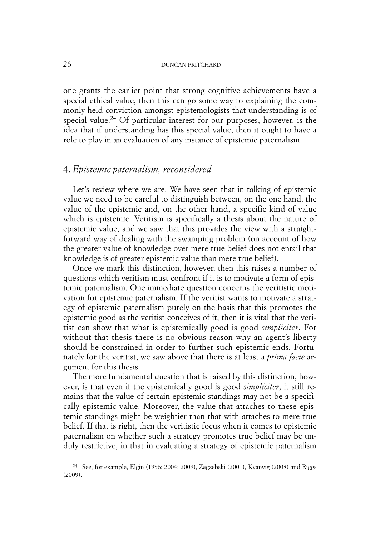one grants the earlier point that strong cognitive achievements have a special ethical value, then this can go some way to explaining the commonly held conviction amongst epistemologists that understanding is of special value. <sup>24</sup> Of particular interest for our purposes, however, is the idea that if understanding has this special value, then it ought to have a role to play in an evaluation of any instance of epistemic paternalism.

# 4. *Epistemic paternalism, reconsidered*

Let's review where we are. We have seen that in talking of epistemic value we need to be careful to distinguish between, on the one hand, the value of the epistemic and, on the other hand, a specific kind of value which is epistemic. Veritism is specifically a thesis about the nature of epistemic value, and we saw that this provides the view with a straightforward way of dealing with the swamping problem (on account of how the greater value of knowledge over mere true belief does not entail that knowledge is of greater epistemic value than mere true belief).

Once we mark this distinction, however, then this raises a number of questions which veritism must confront if it is to motivate a form of epistemic paternalism. One immediate question concerns the veritistic motivation for epistemic paternalism. If the veritist wants to motivate a strategy of epistemic paternalism purely on the basis that this promotes the epistemic good as the veritist conceives of it, then it is vital that the veritist can show that what is epistemically good is good *simpliciter*. For without that thesis there is no obvious reason why an agent's liberty should be constrained in order to further such epistemic ends. Fortunately for the veritist, we saw above that there is at least a *prima facie* argument for this thesis.

The more fundamental question that is raised by this distinction, however, is that even if the epistemically good is good *simpliciter*, it still remains that the value of certain epistemic standings may not be a specifically epistemic value. Moreover, the value that attaches to these epistemic standings might be weightier than that with attaches to mere true belief. If that is right, then the veritistic focus when it comes to epistemic paternalism on whether such a strategy promotes true belief may be unduly restrictive, in that in evaluating a strategy of epistemic paternalism

<sup>24</sup> See, for example, Elgin (1996; 2004; 2009), Zagzebski (2001), Kvanvig (2003) and Riggs (2009).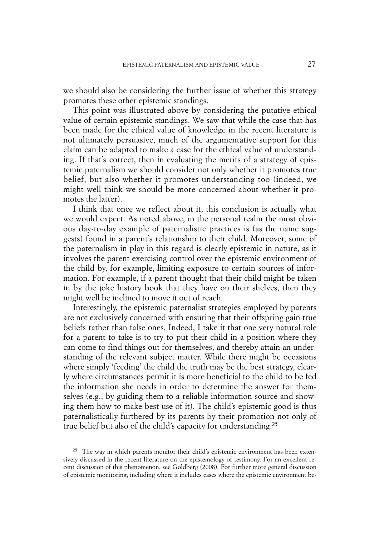we should also be considering the further issue of whether this strategy promotes these other epistemic standings.

This point was illustrated above by considering the putative ethical value of certain epistemic standings. We saw that while the case that has been made for the ethical value of knowledge in the recent literature is not ultimately persuasive, much of the argumentative support for this claim can be adapted to make a case for the ethical value of understanding. If that's correct, then in evaluating the merits of a strategy of epistemic paternalism we should consider not only whether it promotes true belief, but also whether it promotes understanding too (indeed, we might well think we should be more concerned about whether it promotes the latter).

I think that once we reflect about it, this conclusion is actually what we would expect. As noted above, in the personal realm the most obvious day-to-day example of paternalistic practices is (as the name suggests) found in a parent's relationship to their child. Moreover, some of the paternalism in play in this regard is clearly epistemic in nature, as it involves the parent exercising control over the epistemic environment of the child by, for example, limiting exposure to certain sources of information. For example, if a parent thought that their child might be taken in by the joke history book that they have on their shelves, then they might well be inclined to move it out of reach.

Interestingly, the epistemic paternalist strategies employed by parents are not exclusively concerned with ensuring that their offspring gain true beliefs rather than false ones. Indeed, I take it that one very natural role for a parent to take is to try to put their child in a position where they can come to find things out for themselves, and thereby attain an understanding of the relevant subject matter. While there might be occasions where simply 'feeding' the child the truth may be the best strategy, clearly where circumstances permit it is more beneficial to the child to be fed the information she needs in order to determine the answer for themselves (e.g., by guiding them to a reliable information source and showing them how to make best use of it). The child's epistemic good is thus paternalistically furthered by its parents by their promotion not only of true belief but also of the child's capacity for understanding. 25

<sup>&</sup>lt;sup>25</sup> The way in which parents monitor their child's epistemic environment has been extensively discussed in the recent literature on the epistemology of testimony. For an excellent recent discussion of this phenomenon, see Goldberg (2008). For further more general discussion of epistemic monitoring, including where it includes cases where the epistemic environment be-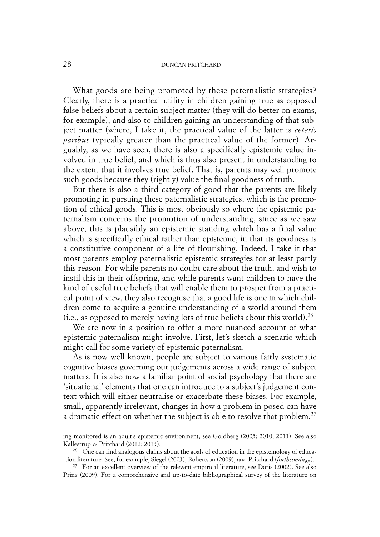What goods are being promoted by these paternalistic strategies? Clearly, there is a practical utility in children gaining true as opposed false beliefs about a certain subject matter (they will do better on exams, for example), and also to children gaining an understanding of that subject matter (where, I take it, the practical value of the latter is *ceteris paribus* typically greater than the practical value of the former). Arguably, as we have seen, there is also a specifically epistemic value involved in true belief, and which is thus also present in understanding to the extent that it involves true belief. That is, parents may well promote such goods because they (rightly) value the final goodness of truth.

But there is also a third category of good that the parents are likely promoting in pursuing these paternalistic strategies, which is the promotion of ethical goods. This is most obviously so where the epistemic paternalism concerns the promotion of understanding, since as we saw above, this is plausibly an epistemic standing which has a final value which is specifically ethical rather than epistemic, in that its goodness is a constitutive component of a life of flourishing. Indeed, I take it that most parents employ paternalistic epistemic strategies for at least partly this reason. For while parents no doubt care about the truth, and wish to instil this in their offspring, and while parents want children to have the kind of useful true beliefs that will enable them to prosper from a practical point of view, they also recognise that a good life is one in which children come to acquire a genuine understanding of a world around them (i.e., as opposed to merely having lots of true beliefs about this world). 26

We are now in a position to offer a more nuanced account of what epistemic paternalism might involve. First, let's sketch a scenario which might call for some variety of epistemic paternalism.

As is now well known, people are subject to various fairly systematic cognitive biases governing our judgements across a wide range of subject matters. It is also now a familiar point of social psychology that there are 'situational' elements that one can introduce to a subject's judgement context which will either neutralise or exacerbate these biases. For example, small, apparently irrelevant, changes in how a problem in posed can have a dramatic effect on whether the subject is able to resolve that problem.<sup>27</sup>

ing monitored is an adult's epistemic environment, see Goldberg (2005; 2010; 2011). See also Kallestrup *&* Pritchard (2012; 2013).

 $26$  One can find analogous claims about the goals of education in the epistemology of education literature. See, for example, Siegel (2003), Robertson (2009), and Pritchard (*forthcominga*).

<sup>&</sup>lt;sup>27</sup> For an excellent overview of the relevant empirical literature, see Doris (2002). See also Prinz (2009). For a comprehensive and up-to-date bibliographical survey of the literature on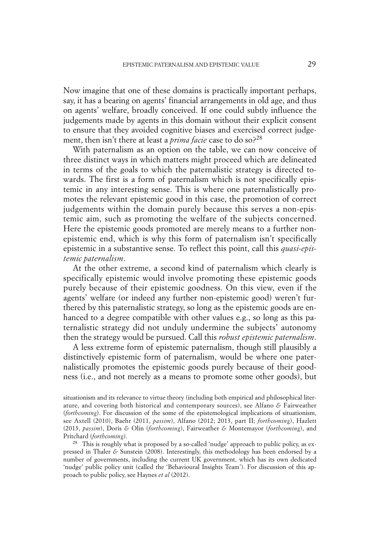Now imagine that one of these domains is practically important perhaps, say, it has a bearing on agents' financial arrangements in old age, and thus on agents' welfare, broadly conceived. If one could subtly influence the judgements made by agents in this domain without their explicit consent to ensure that they avoided cognitive biases and exercised correct judgement, then isn't there at least a *prima facie* case to do so?28

With paternalism as an option on the table, we can now conceive of three distinct ways in which matters might proceed which are delineated in terms of the goals to which the paternalistic strategy is directed towards. The first is a form of paternalism which is not specifically epistemic in any interesting sense. This is where one paternalistically promotes the relevant epistemic good in this case, the promotion of correct judgements within the domain purely because this serves a non-epistemic aim, such as promoting the welfare of the subjects concerned. Here the epistemic goods promoted are merely means to a further nonepistemic end, which is why this form of paternalism isn't specifically epistemic in a substantive sense. To reflect this point, call this *quasi-epistemic paternalism*.

At the other extreme, a second kind of paternalism which clearly is specifically epistemic would involve promoting these epistemic goods purely because of their epistemic goodness. On this view, even if the agents' welfare (or indeed any further non-epistemic good) weren't furthered by this paternalistic strategy, so long as the epistemic goods are enhanced to a degree compatible with other values e.g., so long as this paternalistic strategy did not unduly undermine the subjects' autonomy then the strategy would be pursued. Call this *robust epistemic paternalism*.

A less extreme form of epistemic paternalism, though still plausibly a distinctively epistemic form of paternalism, would be where one paternalistically promotes the epistemic goods purely because of their goodness (i.e., and not merely as a means to promote some other goods), but

situationism and its relevance to virtue theory (including both empirical and philosophical literature, and covering both historical and contemporary sources), see Alfano *&* Fairweather (*forthcoming*). For discussion of the some of the epistemological implications of situationism, see Axtell (2010), Baehr (2011, *passim*), Alfano (2012; 2013, part II; *forthcoming*), Hazlett (2013, *passim*), Doris *&* Olin (*forthcoming*), Fairweather *&* Montemayor (*forthcoming*), and Pritchard (*forthcoming*).

<sup>&</sup>lt;sup>28</sup> This is roughly what is proposed by a so-called 'nudge' approach to public policy, as expressed in Thaler *&* Sunstein (2008). Interestingly, this methodology has been endorsed by a number of governments, including the current UK government, which has its own dedicated 'nudge' public policy unit (called the 'Behavioural Insights Team'). For discussion of this approach to public policy, see Haynes *et al* (2012).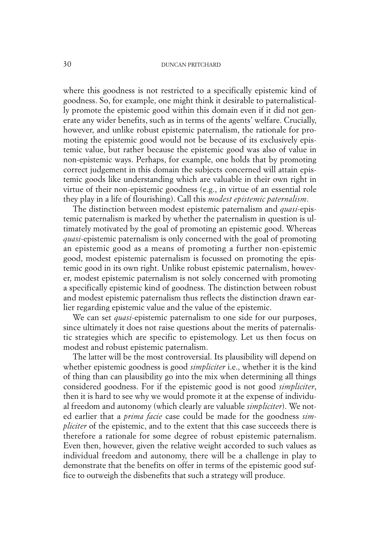where this goodness is not restricted to a specifically epistemic kind of goodness. So, for example, one might think it desirable to paternalistically promote the epistemic good within this domain even if it did not generate any wider benefits, such as in terms of the agents' welfare. Crucially, however, and unlike robust epistemic paternalism, the rationale for promoting the epistemic good would not be because of its exclusively epistemic value, but rather because the epistemic good was also of value in non-epistemic ways. Perhaps, for example, one holds that by promoting correct judgement in this domain the subjects concerned will attain epistemic goods like understanding which are valuable in their own right in virtue of their non-epistemic goodness (e.g., in virtue of an essential role they play in a life of flourishing). Call this *modest epistemic paternalism*.

The distinction between modest epistemic paternalism and *quasi*-epistemic paternalism is marked by whether the paternalism in question is ultimately motivated by the goal of promoting an epistemic good. Whereas *quasi*-epistemic paternalism is only concerned with the goal of promoting an epistemic good as a means of promoting a further non-epistemic good, modest epistemic paternalism is focussed on promoting the epistemic good in its own right. Unlike robust epistemic paternalism, however, modest epistemic paternalism is not solely concerned with promoting a specifically epistemic kind of goodness. The distinction between robust and modest epistemic paternalism thus reflects the distinction drawn earlier regarding epistemic value and the value of the epistemic.

We can set *quasi*-epistemic paternalism to one side for our purposes, since ultimately it does not raise questions about the merits of paternalistic strategies which are specific to epistemology. Let us then focus on modest and robust epistemic paternalism.

The latter will be the most controversial. Its plausibility will depend on whether epistemic goodness is good *simpliciter* i.e., whether it is the kind of thing than can plausibility go into the mix when determining all things considered goodness. For if the epistemic good is not good *simpliciter*, then it is hard to see why we would promote it at the expense of individual freedom and autonomy (which clearly are valuable *simpliciter*). We noted earlier that a *prima facie* case could be made for the goodness *simpliciter* of the epistemic, and to the extent that this case succeeds there is therefore a rationale for some degree of robust epistemic paternalism. Even then, however, given the relative weight accorded to such values as individual freedom and autonomy, there will be a challenge in play to demonstrate that the benefits on offer in terms of the epistemic good suffice to outweigh the disbenefits that such a strategy will produce.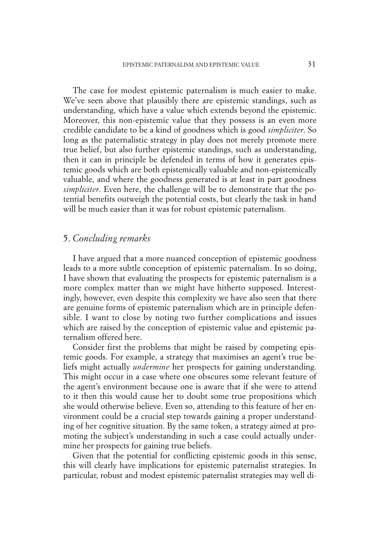The case for modest epistemic paternalism is much easier to make. We've seen above that plausibly there are epistemic standings, such as understanding, which have a value which extends beyond the epistemic. Moreover, this non-epistemic value that they possess is an even more credible candidate to be a kind of goodness which is good *simpliciter*. So long as the paternalistic strategy in play does not merely promote mere true belief, but also further epistemic standings, such as understanding, then it can in principle be defended in terms of how it generates epistemic goods which are both epistemically valuable and non-epistemically valuable, and where the goodness generated is at least in part goodness *simpliciter*. Even here, the challenge will be to demonstrate that the potential benefits outweigh the potential costs, but clearly the task in hand will be much easier than it was for robust epistemic paternalism.

## 5. *Concluding remarks*

I have argued that a more nuanced conception of epistemic goodness leads to a more subtle conception of epistemic paternalism. In so doing, I have shown that evaluating the prospects for epistemic paternalism is a more complex matter than we might have hitherto supposed. Interestingly, however, even despite this complexity we have also seen that there are genuine forms of epistemic paternalism which are in principle defensible. I want to close by noting two further complications and issues which are raised by the conception of epistemic value and epistemic paternalism offered here.

Consider first the problems that might be raised by competing epistemic goods. For example, a strategy that maximises an agent's true beliefs might actually *undermine* her prospects for gaining understanding. This might occur in a case where one obscures some relevant feature of the agent's environment because one is aware that if she were to attend to it then this would cause her to doubt some true propositions which she would otherwise believe. Even so, attending to this feature of her environment could be a crucial step towards gaining a proper understanding of her cognitive situation. By the same token, a strategy aimed at promoting the subject's understanding in such a case could actually undermine her prospects for gaining true beliefs.

Given that the potential for conflicting epistemic goods in this sense, this will clearly have implications for epistemic paternalist strategies. In particular, robust and modest epistemic paternalist strategies may well di-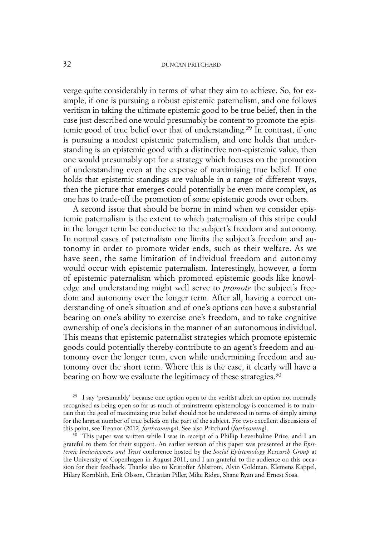verge quite considerably in terms of what they aim to achieve. So, for example, if one is pursuing a robust epistemic paternalism, and one follows veritism in taking the ultimate epistemic good to be true belief, then in the case just described one would presumably be content to promote the epistemic good of true belief over that of understanding. <sup>29</sup> In contrast, if one is pursuing a modest epistemic paternalism, and one holds that understanding is an epistemic good with a distinctive non-epistemic value, then one would presumably opt for a strategy which focuses on the promotion of understanding even at the expense of maximising true belief. If one holds that epistemic standings are valuable in a range of different ways, then the picture that emerges could potentially be even more complex, as one has to trade-off the promotion of some epistemic goods over others.

A second issue that should be borne in mind when we consider epistemic paternalism is the extent to which paternalism of this stripe could in the longer term be conducive to the subject's freedom and autonomy. In normal cases of paternalism one limits the subject's freedom and autonomy in order to promote wider ends, such as their welfare. As we have seen, the same limitation of individual freedom and autonomy would occur with epistemic paternalism. Interestingly, however, a form of epistemic paternalism which promoted epistemic goods like knowledge and understanding might well serve to *promote* the subject's freedom and autonomy over the longer term. After all, having a correct understanding of one's situation and of one's options can have a substantial bearing on one's ability to exercise one's freedom, and to take cognitive ownership of one's decisions in the manner of an autonomous individual. This means that epistemic paternalist strategies which promote epistemic goods could potentially thereby contribute to an agent's freedom and autonomy over the longer term, even while undermining freedom and autonomy over the short term. Where this is the case, it clearly will have a bearing on how we evaluate the legitimacy of these strategies. 30

 $30$  This paper was written while I was in receipt of a Phillip Leverhulme Prize, and I am grateful to them for their support. An earlier version of this paper was presented at the *Epistemic Inclusiveness and Trust* conference hosted by the *Social Epistemology Research Group* at the University of Copenhagen in August 2011, and I am grateful to the audience on this occasion for their feedback. Thanks also to Kristoffer Ahlstrom, Alvin Goldman, Klemens Kappel, Hilary Kornblith, Erik Olsson, Christian Piller, Mike Ridge, Shane Ryan and Ernest Sosa.

<sup>29</sup> I say 'presumably' because one option open to the veritist albeit an option not normally recognised as being open so far as much of mainstream epistemology is concerned is to maintain that the goal of maximizing true belief should not be understood in terms of simply aiming for the largest number of true beliefs on the part of the subject. For two excellent discussions of this point, see Treanor (2012, *forthcominga*). See also Pritchard (*forthcoming*).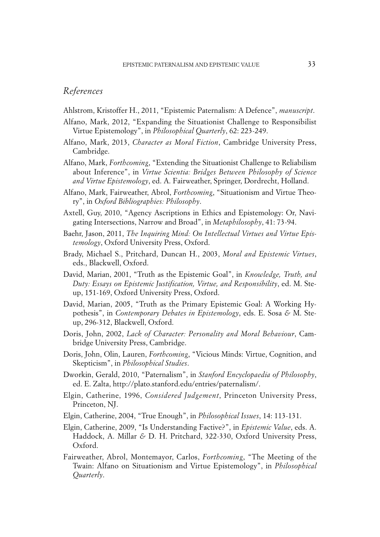## *References*

- Ahlstrom, Kristoffer H., 2011, "Epistemic Paternalism: A Defence", *manuscript*.
- Alfano, Mark, 2012, "Expanding the Situationist Challenge to Responsibilist Virtue Epistemology", in *Philosophical Quarterly*, 62: 223-249.
- Alfano, Mark, 2013, *Character as Moral Fiction*, Cambridge University Press, Cambridge.
- Alfano, Mark, *Forthcoming*, "Extending the Situationist Challenge to Reliabilism about Inference", in *Virtue Scientia: Bridges Between Philosophy of Science and Virtue Epistemology*, ed. A. Fairweather, Springer, Dordrecht, Holland.
- Alfano, Mark, Fairweather, Abrol, *Forthcoming*, "Situationism and Virtue Theory", in *Oxford Bibliographies: Philosophy*.
- Axtell, Guy, 2010, "Agency Ascriptions in Ethics and Epistemology: Or, Navigating Intersections, Narrow and Broad", in *Metaphilosophy*, 41: 73-94.
- Baehr, Jason, 2011, *The Inquiring Mind: On Intellectual Virtues and Virtue Epistemology*, Oxford University Press, Oxford.
- Brady, Michael S., Pritchard, Duncan H., 2003, *Moral and Epistemic Virtues*, eds., Blackwell, Oxford.
- David, Marian, 2001, "Truth as the Epistemic Goal", in *Knowledge, Truth, and Duty: Essays on Epistemic Justification, Virtue, and Responsibility*, ed. M. Steup, 151-169, Oxford University Press, Oxford.
- David, Marian, 2005, "Truth as the Primary Epistemic Goal: A Working Hypothesis", in *Contemporary Debates in Epistemology*, eds. E. Sosa *&* M. Steup, 296-312, Blackwell, Oxford.
- Doris, John, 2002, *Lack of Character: Personality and Moral Behaviour*, Cambridge University Press, Cambridge.
- Doris, John, Olin, Lauren, *Forthcoming*, "Vicious Minds: Virtue, Cognition, and Skepticism", in *Philosophical Studies*.
- Dworkin, Gerald, 2010, "Paternalism", in *Stanford Encyclopaedia of Philosophy*, ed. E. Zalta, http://plato.stanford.edu/entries/paternalism/.
- Elgin, Catherine, 1996, *Considered Judgement*, Princeton University Press, Princeton, NJ.
- Elgin, Catherine, 2004, "True Enough", in *Philosophical Issues*, 14: 113-131.
- Elgin, Catherine, 2009, "Is Understanding Factive?", in *Epistemic Value*, eds. A. Haddock, A. Millar *&* D. H. Pritchard, 322-330, Oxford University Press, Oxford.
- Fairweather, Abrol, Montemayor, Carlos, *Forthcoming*, "The Meeting of the Twain: Alfano on Situationism and Virtue Epistemology", in *Philosophical Quarterly*.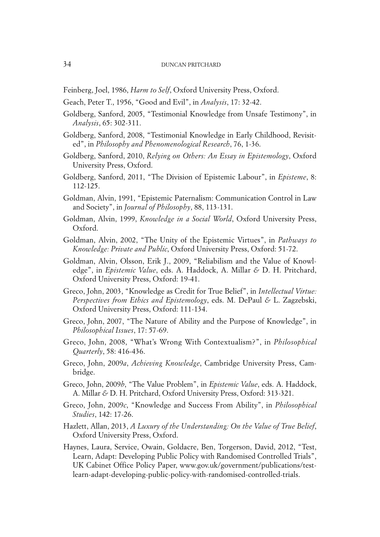Feinberg, Joel, 1986, *Harm to Self*, Oxford University Press, Oxford.

- Geach, Peter T., 1956, "Good and Evil", in *Analysis*, 17: 32-42.
- Goldberg, Sanford, 2005, "Testimonial Knowledge from Unsafe Testimony", in *Analysis*, 65: 302-311.
- Goldberg, Sanford, 2008, "Testimonial Knowledge in Early Childhood, Revisited", in *Philosophy and Phenomenological Research*, 76, 1-36.
- Goldberg, Sanford, 2010, *Relying on Others: An Essay in Epistemology*, Oxford University Press, Oxford.
- Goldberg, Sanford, 2011, "The Division of Epistemic Labour", in *Episteme*, 8: 112-125.
- Goldman, Alvin, 1991, "Epistemic Paternalism: Communication Control in Law and Society", in *Journal of Philosophy*, 88, 113-131.
- Goldman, Alvin, 1999, *Knowledge in a Social World*, Oxford University Press, Oxford.
- Goldman, Alvin, 2002, "The Unity of the Epistemic Virtues", in *Pathways to Knowledge: Private and Public*, Oxford University Press, Oxford: 51-72.
- Goldman, Alvin, Olsson, Erik J., 2009, "Reliabilism and the Value of Knowledge", in *Epistemic Value*, eds. A. Haddock, A. Millar *&* D. H. Pritchard, Oxford University Press, Oxford: 19-41.
- Greco, John, 2003, "Knowledge as Credit for True Belief", in *Intellectual Virtue: Perspectives from Ethics and Epistemology*, eds. M. DePaul *&* L. Zagzebski, Oxford University Press, Oxford: 111-134.
- Greco, John, 2007, "The Nature of Ability and the Purpose of Knowledge", in *Philosophical Issues*, 17: 57-69.
- Greco, John, 2008, "What's Wrong With Contextualism?", in *Philosophical Quarterly*, 58: 416-436.
- Greco, John, 2009*a*, *Achieving Knowledge*, Cambridge University Press, Cambridge.
- Greco, John, 2009*b*, "The Value Problem", in *Epistemic Value*, eds. A. Haddock, A. Millar *&* D. H. Pritchard, Oxford University Press, Oxford: 313-321.
- Greco, John, 2009*c*, "Knowledge and Success From Ability", in *Philosophical Studies*, 142: 17-26.
- Hazlett, Allan, 2013, *A Luxury of the Understanding: On the Value of True Belief*, Oxford University Press, Oxford.
- Haynes, Laura, Service, Owain, Goldacre, Ben, Torgerson, David, 2012, "Test, Learn, Adapt: Developing Public Policy with Randomised Controlled Trials", UK Cabinet Office Policy Paper, www.gov.uk/government/publications/testlearn-adapt-developing-public-policy-with-randomised-controlled-trials.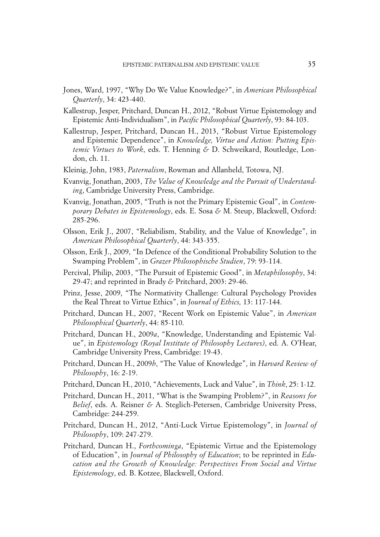- Jones, Ward, 1997, "Why Do We Value Knowledge?", in *American Philosophical Quarterly*, 34: 423-440.
- Kallestrup, Jesper, Pritchard, Duncan H., 2012, "Robust Virtue Epistemology and Epistemic Anti-Individualism", in *Pacific Philosophical Quarterly*, 93: 84-103.
- Kallestrup, Jesper, Pritchard, Duncan H., 2013, "Robust Virtue Epistemology and Epistemic Dependence", in *Knowledge, Virtue and Action: Putting Epistemic Virtues to Work*, eds. T. Henning *&* D. Schweikard, Routledge, London, ch. 11.
- Kleinig, John, 1983, *Paternalism*, Rowman and Allanheld, Totowa, NJ.
- Kvanvig, Jonathan, 2003, *The Value of Knowledge and the Pursuit of Understanding*, Cambridge University Press, Cambridge.
- Kvanvig, Jonathan, 2005, "Truth is not the Primary Epistemic Goal", in *Contemporary Debates in Epistemology*, eds. E. Sosa *&* M. Steup, Blackwell, Oxford: 285-296.
- Olsson, Erik J., 2007, "Reliabilism, Stability, and the Value of Knowledge", in *American Philosophical Quarterly*, 44: 343-355.
- Olsson, Erik J., 2009, "In Defence of the Conditional Probability Solution to the Swamping Problem", in *Grazer Philosophische Studien*, 79: 93-114.
- Percival, Philip, 2003, "The Pursuit of Epistemic Good", in *Metaphilosophy*, 34: 29-47; and reprinted in Brady *&* Pritchard, 2003: 29-46.
- Prinz, Jesse, 2009, "The Normativity Challenge: Cultural Psychology Provides the Real Threat to Virtue Ethics", in *Journal of Ethics,* 13: 117-144.
- Pritchard, Duncan H., 2007, "Recent Work on Epistemic Value", in *American Philosophical Quarterly*, 44: 85-110.
- Pritchard, Duncan H., 2009*a*, "Knowledge, Understanding and Epistemic Value", in *Epistemology (Royal Institute of Philosophy Lectures)*, ed. A. O'Hear, Cambridge University Press, Cambridge: 19-43.
- Pritchard, Duncan H., 2009*b*, "The Value of Knowledge", in *Harvard Review of Philosophy*, 16: 2-19.
- Pritchard, Duncan H., 2010, "Achievements, Luck and Value", in *Think*, 25: 1-12.
- Pritchard, Duncan H., 2011, "What is the Swamping Problem?", in *Reasons for Belief*, eds. A. Reisner *&* A. Steglich-Petersen, Cambridge University Press, Cambridge: 244-259.
- Pritchard, Duncan H., 2012, "Anti-Luck Virtue Epistemology", in *Journal of Philosophy*, 109: 247-279.
- Pritchard, Duncan H., *Forthcominga*, "Epistemic Virtue and the Epistemology of Education", in *Journal of Philosophy of Education*; to be reprinted in *Education and the Growth of Knowledge: Perspectives From Social and Virtue Epistemology*, ed. B. Kotzee, Blackwell, Oxford.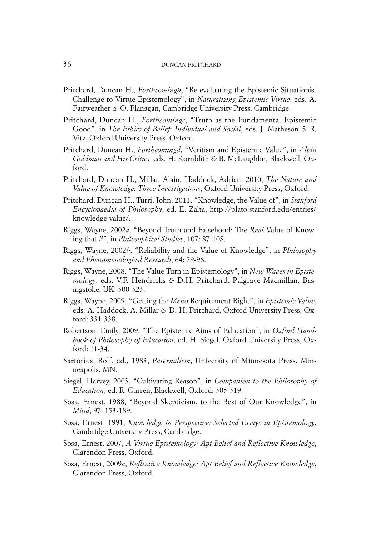- Pritchard, Duncan H., *Forthcomingb*, "Re-evaluating the Epistemic Situationist Challenge to Virtue Epistemology", in *Naturalizing Epistemic Virtue*, eds. A. Fairweather *&* O. Flanagan, Cambridge University Press, Cambridge.
- Pritchard, Duncan H., *Forthcomingc*, "Truth as the Fundamental Epistemic Good", in *The Ethics of Belief: Individual and Social*, eds. J. Matheson *&* R. Vitz, Oxford University Press, Oxford.
- Pritchard, Duncan H., *Forthcomingd*, "Veritism and Epistemic Value", in *Alvin Goldman and His Critics,* eds. H. Kornblith *&* B. McLaughlin, Blackwell, Oxford.
- Pritchard, Duncan H., Millar, Alain, Haddock, Adrian, 2010, *The Nature and Value of Knowledge: Three Investigations*, Oxford University Press, Oxford.
- Pritchard, Duncan H., Turri, John, 2011, "Knowledge, the Value of", in *Stanford Encyclopaedia of Philosophy*, ed. E. Zalta, http://plato.stanford.edu/entries/ knowledge-value/.
- Riggs, Wayne, 2002*a*, "Beyond Truth and Falsehood: The *Real* Value of Knowing that *P*", in *Philosophical Studies*, 107: 87-108.
- Riggs, Wayne, 2002*b*, "Reliability and the Value of Knowledge", in *Philosophy and Phenomenological Research*, 64: 79-96.
- Riggs, Wayne, 2008, "The Value Turn in Epistemology", in *New Waves in Epistemology*, eds. V.F. Hendricks *&* D.H. Pritchard, Palgrave Macmillan, Basingstoke, UK: 300-323.
- Riggs, Wayne, 2009, "Getting the *Meno* Requirement Right", in *Epistemic Value*, eds. A. Haddock, A. Millar *&* D. H. Pritchard, Oxford University Press, Oxford: 331-338.
- Robertson, Emily, 2009, "The Epistemic Aims of Education", in *Oxford Handbook of Philosophy of Education*, ed. H. Siegel, Oxford University Press, Oxford: 11-34.
- Sartorius, Rolf, ed., 1983, *Paternalism*, University of Minnesota Press, Minneapolis, MN.
- Siegel, Harvey, 2003, "Cultivating Reason", in *Companion to the Philosophy of Education*, ed. R. Curren, Blackwell, Oxford: 305-319.
- Sosa, Ernest, 1988, "Beyond Skepticism, to the Best of Our Knowledge", in *Mind*, 97: 153-189.
- Sosa, Ernest, 1991, *Knowledge in Perspective: Selected Essays in Epistemology*, Cambridge University Press, Cambridge.
- Sosa, Ernest, 2007, *A Virtue Epistemology: Apt Belief and Reflective Knowledge*, Clarendon Press, Oxford.
- Sosa, Ernest, 2009*a*, *Reflective Knowledge: Apt Belief and Reflective Knowledge*, Clarendon Press, Oxford.